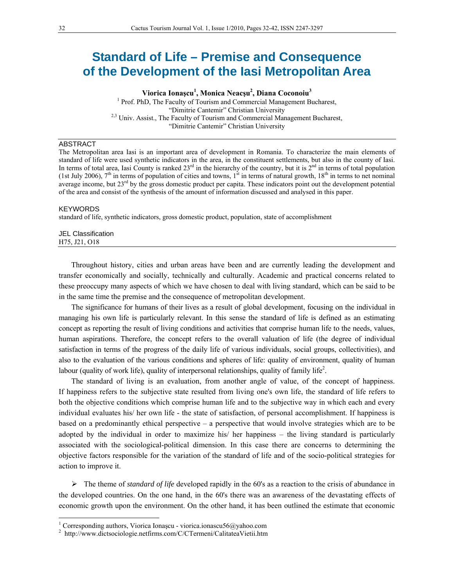# **Standard of Life – Premise and Consequence of the Development of the Iasi Metropolitan Area**

**Viorica Ionaşcu<sup>1</sup> , Monica Neacşu2 , Diana Coconoiu<sup>3</sup>**

<sup>1</sup> Prof. PhD, The Faculty of Tourism and Commercial Management Bucharest, "Dimitrie Cantemir" Christian University <sup>2,3</sup> Univ. Assist., The Faculty of Tourism and Commercial Management Bucharest, "Dimitrie Cantemir" Christian University

### ABSTRACT

The Metropolitan area Iasi is an important area of development in Romania. To characterize the main elements of standard of life were used synthetic indicators in the area, in the constituent settlements, but also in the county of Iasi. In terms of total area, Iasi County is ranked  $23<sup>rd</sup>$  in the hierarchy of the country, but it is  $2<sup>nd</sup>$  in terms of total population (1st July 2006),  $7<sup>th</sup>$  in terms of population of cities and towns, 1<sup>st</sup> in terms of natural growth, 18<sup>th</sup> in terms to net nominal average income, but 23<sup>rd</sup> by the gross domestic product per capita. These indicators point out the development potential of the area and consist of the synthesis of the amount of information discussed and analysed in this paper.

#### **KEYWORDS**

 $\overline{a}$ 

standard of life, synthetic indicators, gross domestic product, population, state of accomplishment

#### JEL Classification H75, J21, O18

Throughout history, cities and urban areas have been and are currently leading the development and transfer economically and socially, technically and culturally. Academic and practical concerns related to these preoccupy many aspects of which we have chosen to deal with living standard, which can be said to be in the same time the premise and the consequence of metropolitan development.

The significance for humans of their lives as a result of global development, focusing on the individual in managing his own life is particularly relevant. In this sense the standard of life is defined as an estimating concept as reporting the result of living conditions and activities that comprise human life to the needs, values, human aspirations. Therefore, the concept refers to the overall valuation of life (the degree of individual satisfaction in terms of the progress of the daily life of various individuals, social groups, collectivities), and also to the evaluation of the various conditions and spheres of life: quality of environment, quality of human labour (quality of work life), quality of interpersonal relationships, quality of family life<sup>2</sup>.

The standard of living is an evaluation, from another angle of value, of the concept of happiness. If happiness refers to the subjective state resulted from living one's own life, the standard of life refers to both the objective conditions which comprise human life and to the subjective way in which each and every individual evaluates his/ her own life - the state of satisfaction, of personal accomplishment. If happiness is based on a predominantly ethical perspective – a perspective that would involve strategies which are to be adopted by the individual in order to maximize his/ her happiness – the living standard is particularly associated with the sociological-political dimension. In this case there are concerns to determining the objective factors responsible for the variation of the standard of life and of the socio-political strategies for action to improve it.

 The theme of *standard of life* developed rapidly in the 60's as a reaction to the crisis of abundance in the developed countries. On the one hand, in the 60's there was an awareness of the devastating effects of economic growth upon the environment. On the other hand, it has been outlined the estimate that economic

<sup>&</sup>lt;sup>1</sup> Corresponding authors, Viorica Ionașcu - viorica.ionascu56@yahoo.com <sup>2</sup><br><sup>2</sup> http://www.diateosialogia.patfirms.com/C/CTermoni/ColitateoVietii htm

<sup>&</sup>lt;sup>2</sup> http://www.dictsociologie.netfirms.com/C/CTermeni/CalitateaVietii.htm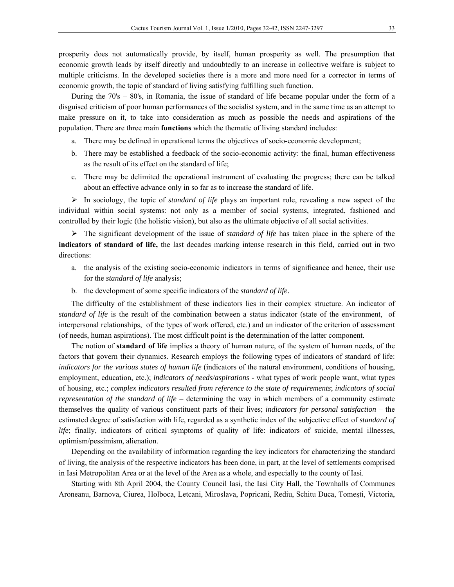prosperity does not automatically provide, by itself, human prosperity as well. The presumption that economic growth leads by itself directly and undoubtedly to an increase in collective welfare is subject to multiple criticisms. In the developed societies there is a more and more need for a corrector in terms of economic growth, the topic of standard of living satisfying fulfilling such function.

During the 70's – 80's, in Romania, the issue of standard of life became popular under the form of a disguised criticism of poor human performances of the socialist system, and in the same time as an attempt to make pressure on it, to take into consideration as much as possible the needs and aspirations of the population. There are three main **functions** which the thematic of living standard includes:

- a. There may be defined in operational terms the objectives of socio-economic development;
- b. There may be established a feedback of the socio-economic activity: the final, human effectiveness as the result of its effect on the standard of life;
- c. There may be delimited the operational instrument of evaluating the progress; there can be talked about an effective advance only in so far as to increase the standard of life.

 In sociology, the topic of *standard of life* plays an important role, revealing a new aspect of the individual within social systems: not only as a member of social systems, integrated, fashioned and controlled by their logic (the holistic vision), but also as the ultimate objective of all social activities.

 The significant development of the issue of *standard of life* has taken place in the sphere of the **indicators of standard of life,** the last decades marking intense research in this field, carried out in two directions:

- a. the analysis of the existing socio-economic indicators in terms of significance and hence, their use for the *standard of life* analysis;
- b. the development of some specific indicators of the *standard of life*.

The difficulty of the establishment of these indicators lies in their complex structure. An indicator of *standard of life* is the result of the combination between a status indicator (state of the environment, of interpersonal relationships, of the types of work offered, etc.) and an indicator of the criterion of assessment (of needs, human aspirations). The most difficult point is the determination of the latter component.

The notion of **standard of life** implies a theory of human nature, of the system of human needs, of the factors that govern their dynamics. Research employs the following types of indicators of standard of life: *indicators for the various states of human life* (indicators of the natural environment, conditions of housing, employment, education, etc.); *indicators of needs/aspirations* - what types of work people want, what types of housing, etc.; *complex indicators resulted from reference to the state of requirements*; *indicators of social representation of the standard of life* – determining the way in which members of a community estimate themselves the quality of various constituent parts of their lives; *indicators for personal satisfaction* – the estimated degree of satisfaction with life, regarded as a synthetic index of the subjective effect of *standard of life*; finally, indicators of critical symptoms of quality of life: indicators of suicide, mental illnesses, optimism/pessimism, alienation.

Depending on the availability of information regarding the key indicators for characterizing the standard of living, the analysis of the respective indicators has been done, in part, at the level of settlements comprised in Iasi Metropolitan Area or at the level of the Area as a whole, and especially to the county of Iasi.

Starting with 8th April 2004, the County Council Iasi, the Iasi City Hall, the Townhalls of Communes Aroneanu, Barnova, Ciurea, Holboca, Letcani, Miroslava, Popricani, Rediu, Schitu Duca, Tomeşti, Victoria,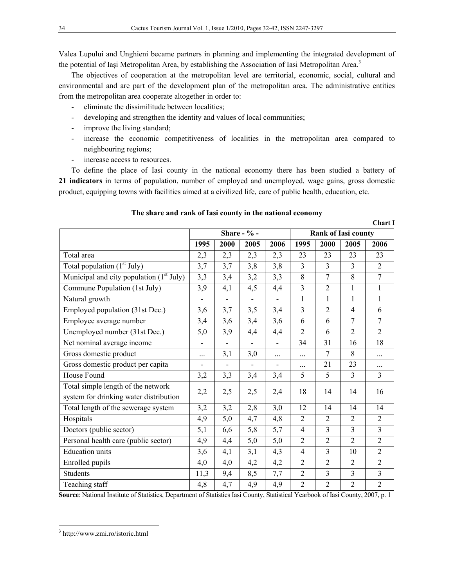Valea Lupului and Unghieni became partners in planning and implementing the integrated development of the potential of Iasi Metropolitan Area, by establishing the Association of Iasi Metropolitan Area.<sup>3</sup>

The objectives of cooperation at the metropolitan level are territorial, economic, social, cultural and environmental and are part of the development plan of the metropolitan area. The administrative entities from the metropolitan area cooperate altogether in order to:

- eliminate the dissimilitude between localities;
- developing and strengthen the identity and values of local communities;
- improve the living standard;
- increase the economic competitiveness of localities in the metropolitan area compared to neighbouring regions;
- increase access to resources.

To define the place of Iasi county in the national economy there has been studied a battery of **21 indicators** in terms of population, number of employed and unemployed, wage gains, gross domestic product, equipping towns with facilities aimed at a civilized life, care of public health, education, etc.

## **Chart I Share - % - Rank of Iasi county 1995 2000 2005 2006 1995 2000 2005 2006**  Total area 2,3 2,3 2,3 2,3 2,3 2,3 23 23 23 23 Total population (1st July) 3,7 3,7 3,8 3,8 3 3 3 2 Municipal and city population  $(1^{\text{st}}$  July) 3,3 3,4 3,4 3,2 3,3 8 7 Commune Population (1st July) 3,9 4,1 4,5 4,4 3 2 1 1 Natural growth - - - - 1 1 1 1 Employed population (31st Dec.) 3,6 3,7 3,5 3,4 3 2 4 6 Employee average number 3,4 3,6 3,4 3,6 6 6 7 7 Unemployed number (31st Dec.) 5,0 3,9 4,4 4,4 2 6 2 2 Net nominal average income  $\begin{vmatrix} - & - & - & - & - & 34 & 31 & 16 & 18 \end{vmatrix}$ Gross domestic product  $\begin{array}{|c|c|c|c|c|c|c|c|c|} \hline \end{array}$  ...  $\begin{array}{|c|c|c|c|c|c|c|c|c|} \hline 3,0 & \dots & \dots & \dots & \end{array}$  7 8 ... Gross domestic product per capita  $\begin{vmatrix} - & - & - & - & - & \cdots & 21 & 23 & \cdots \end{vmatrix}$ House Found 3,2 3,3 3,4 3,4 5 5 3 3 Total simple length of the network system for drinking water distribution  $\begin{vmatrix} 2,2 \\ 2,5 \end{vmatrix}$   $\begin{vmatrix} 2,5 \\ 2,5 \end{vmatrix}$   $\begin{vmatrix} 2,4 \\ 18 \end{vmatrix}$   $\begin{vmatrix} 14 \\ 14 \end{vmatrix}$   $\begin{vmatrix} 14 \\ 16 \end{vmatrix}$  16 Total length of the sewerage system 3,2 3,2 2,8 3,0 12 14 14 14 Hospitals 4,9 5,0 4,7 4,8 2 2 2 2 Doctors (public sector) 5,1 6,6 5,8 5,7 4 3 3 3 Personal health care (public sector) 4,9 4,4 5,0 5,0 2 2 2 2 Education units 3,6 4,1 3,1 4,3 4 3 10 2 Enrolled pupils 4,0 4,0 4,2 4,2 2 2 2 2 Students 11,3 9,4 8,5 7,7 2 3 3 3 Teaching staff 4,8 4,7 4,9 4,9 2 2 2 2

#### **The share and rank of Iasi county in the national economy**

**Source**: National Institute of Statistics, Department of Statistics Iasi County, Statistical Yearbook of Iasi County, 2007, p. 1

 $\overline{a}$ 3 http://www.zmi.ro/istoric.html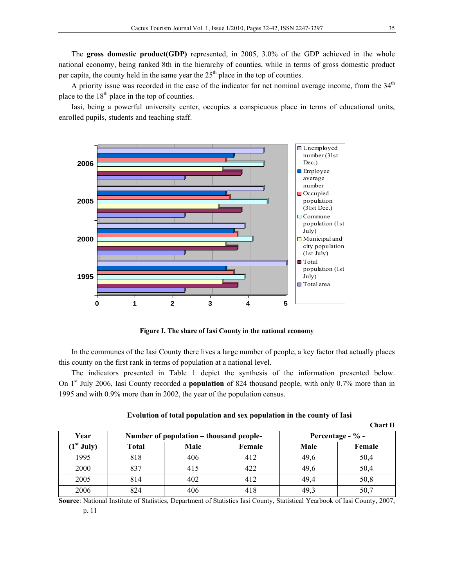The **gross domestic product(GDP)** represented, in 2005, 3.0% of the GDP achieved in the whole national economy, being ranked 8th in the hierarchy of counties, while in terms of gross domestic product per capita, the county held in the same year the  $25<sup>th</sup>$  place in the top of counties.

A priority issue was recorded in the case of the indicator for net nominal average income, from the  $34<sup>th</sup>$ place to the  $18<sup>th</sup>$  place in the top of counties.

Iasi, being a powerful university center, occupies a conspicuous place in terms of educational units, enrolled pupils, students and teaching staff.



**Figure I. The share of Iasi County in the national economy**

In the communes of the Iasi County there lives a large number of people, a key factor that actually places this county on the first rank in terms of population at a national level.

The indicators presented in Table 1 depict the synthesis of the information presented below. On 1<sup>st</sup> July 2006, Iasi County recorded a **population** of 824 thousand people, with only 0.7% more than in 1995 and with 0.9% more than in 2002, the year of the population census.

|                        |       |                                         |        |      | <b>Chart II</b>     |
|------------------------|-------|-----------------------------------------|--------|------|---------------------|
| Year                   |       | Number of population – thousand people- |        |      | Percentage - $\%$ - |
| (1 <sup>st</sup> July) | Total | Male                                    | Female | Male | Female              |
| 1995                   | 818   | 406                                     | 412    | 49,6 | 50,4                |
| 2000                   | 837   | 415                                     | 422    | 49,6 | 50,4                |
| 2005                   | 814   | 402                                     | 412    | 49,4 | 50,8                |
| 2006                   | 824   | 406                                     | 418    | 49.3 | 50,7                |

| Evolution of total population and sex population in the county of Iasi |  |  |
|------------------------------------------------------------------------|--|--|
|------------------------------------------------------------------------|--|--|

**Source**: National Institute of Statistics, Department of Statistics Iasi County, Statistical Yearbook of Iasi County, 2007,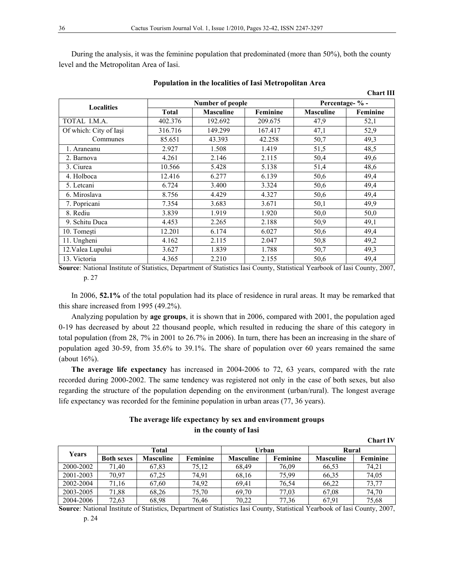During the analysis, it was the feminine population that predominated (more than 50%), both the county level and the Metropolitan Area of Iasi.

|                        |              |                  |                 |                  | Спагенн  |
|------------------------|--------------|------------------|-----------------|------------------|----------|
| <b>Localities</b>      |              | Number of people | Percentage- % - |                  |          |
|                        | <b>Total</b> | <b>Masculine</b> | Feminine        | <b>Masculine</b> | Feminine |
| TOTAL I.M.A.           | 402.376      | 192.692          | 209.675         | 47,9             | 52,1     |
| Of which: City of Iasi | 316.716      | 149.299          | 167.417         | 47,1             | 52,9     |
| Communes               | 85.651       | 43.393           | 42.258          | 50,7             | 49,3     |
| 1. Araneanu            | 2.927        | 1.508            | 1.419           | 51,5             | 48,5     |
| 2. Barnova             | 4.261        | 2.146            | 2.115           | 50,4             | 49,6     |
| 3. Ciurea              | 10.566       | 5.428            | 5.138           | 51,4             | 48,6     |
| 4. Holboca             | 12.416       | 6.277            | 6.139           | 50,6             | 49,4     |
| 5. Letcani             | 6.724        | 3.400            | 3.324           | 50,6             | 49,4     |
| 6. Miroslava           | 8.756        | 4.429            | 4.327           | 50,6             | 49,4     |
| 7. Popricani           | 7.354        | 3.683            | 3.671           | 50,1             | 49,9     |
| 8. Rediu               | 3.839        | 1.919            | 1.920           | 50,0             | 50,0     |
| 9. Schitu Duca         | 4.453        | 2.265            | 2.188           | 50,9             | 49,1     |
| 10. Tomești            | 12.201       | 6.174            | 6.027           | 50,6             | 49,4     |
| 11. Ungheni            | 4.162        | 2.115            | 2.047           | 50,8             | 49,2     |
| 12. Valea Lupului      | 3.627        | 1.839            | 1.788           | 50,7             | 49,3     |
| 13. Victoria           | 4.365        | 2.210            | 2.155           | 50,6             | 49,4     |

**Population in the localities of Iasi Metropolitan Area** 

**Chart III** 

**Chart IV** 

**Source**: National Institute of Statistics, Department of Statistics Iasi County, Statistical Yearbook of Iasi County, 2007, p. 27

In 2006, **52.1%** of the total population had its place of residence in rural areas. It may be remarked that this share increased from 1995 (49.2%).

Analyzing population by **age groups**, it is shown that in 2006, compared with 2001, the population aged 0-19 has decreased by about 22 thousand people, which resulted in reducing the share of this category in total population (from 28, 7% in 2001 to 26.7% in 2006). In turn, there has been an increasing in the share of population aged 30-59, from 35.6% to 39.1%. The share of population over 60 years remained the same (about 16%).

**The average life expectancy** has increased in 2004-2006 to 72, 63 years, compared with the rate recorded during 2000-2002. The same tendency was registered not only in the case of both sexes, but also regarding the structure of the population depending on the environment (urban/rural). The longest average life expectancy was recorded for the feminine population in urban areas (77, 36 years).

## **The average life expectancy by sex and environment groups in the county of Iasi**

|           |                   |                  |          |                  |          |                  | <u>UMMI VIII</u> |
|-----------|-------------------|------------------|----------|------------------|----------|------------------|------------------|
|           | Total             |                  |          | Urban            |          | Rural            |                  |
| Years     | <b>Both sexes</b> | <b>Masculine</b> | Feminine | <b>Masculine</b> | Feminine | <b>Masculine</b> | Feminine         |
| 2000-2002 | 71,40             | 67,83            | 75.12    | 68,49            | 76.09    | 66.53            | 74.21            |
| 2001-2003 | 70,97             | 67,25            | 74,91    | 68,16            | 75.99    | 66.35            | 74.05            |
| 2002-2004 | 71,16             | 67,60            | 74,92    | 69.41            | 76,54    | 66.22            | 73,77            |
| 2003-2005 | 71,88             | 68,26            | 75,70    | 69,70            | 77,03    | 67.08            | 74,70            |
| 2004-2006 | 72,63             | 68,98            | 76,46    | 70,22            | 77,36    | 67.91            | 75,68            |

**Source**: National Institute of Statistics, Department of Statistics Iasi County, Statistical Yearbook of Iasi County, 2007,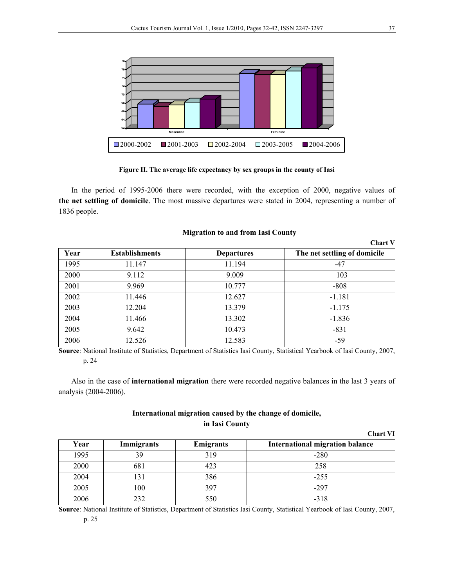

**Figure II. The average life expectancy by sex groups in the county of Iasi** 

In the period of 1995-2006 there were recorded, with the exception of 2000, negative values of **the net settling of domicile**. The most massive departures were stated in 2004, representing a number of 1836 people.

|      |                       |                   | <b>Chart V</b>               |
|------|-----------------------|-------------------|------------------------------|
| Year | <b>Establishments</b> | <b>Departures</b> | The net settling of domicile |
| 1995 | 11.147                | 11.194            | $-47$                        |
| 2000 | 9.112                 | 9.009             | $+103$                       |
| 2001 | 9.969                 | 10.777            | $-808$                       |
| 2002 | 11.446                | 12.627            | $-1.181$                     |
| 2003 | 12.204                | 13.379            | $-1.175$                     |
| 2004 | 11.466                | 13.302            | $-1.836$                     |
| 2005 | 9.642                 | 10.473            | $-831$                       |
| 2006 | 12.526                | 12.583            | $-59$                        |

#### **Migration to and from Iasi County**

**Source**: National Institute of Statistics, Department of Statistics Iasi County, Statistical Yearbook of Iasi County, 2007, p. 24

Also in the case of **international migration** there were recorded negative balances in the last 3 years of analysis (2004-2006).

## **International migration caused by the change of domicile, in Iasi County**

|      |            |                  | <b>Chart VI</b>                        |
|------|------------|------------------|----------------------------------------|
| Year | Immigrants | <b>Emigrants</b> | <b>International migration balance</b> |
| 1995 | 39         | 319              | $-280$                                 |
| 2000 | 681        | 423              | 258                                    |
| 2004 | 131        | 386              | $-255$                                 |
| 2005 | 100        | 397              | $-297$                                 |
| 2006 | 232        | 550              | $-318$                                 |

**Source**: National Institute of Statistics, Department of Statistics Iasi County, Statistical Yearbook of Iasi County, 2007,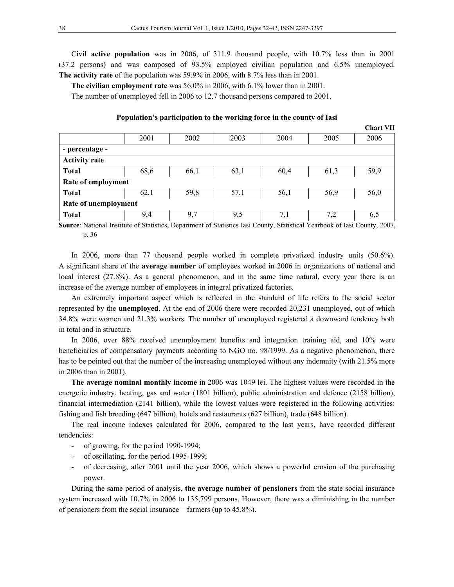Civil **active population** was in 2006, of 311.9 thousand people, with 10.7% less than in 2001 (37.2 persons) and was composed of 93.5% employed civilian population and 6.5% unemployed. **The activity rate** of the population was 59.9% in 2006, with 8.7% less than in 2001.

**The civilian employment rate** was 56.0% in 2006, with 6.1% lower than in 2001.

The number of unemployed fell in 2006 to 12.7 thousand persons compared to 2001.

| Population's participation to the working force in the county of Iasi |  |  |
|-----------------------------------------------------------------------|--|--|
|-----------------------------------------------------------------------|--|--|

|                      |                    |      |      |      |      | <b>Chart VII</b> |  |  |
|----------------------|--------------------|------|------|------|------|------------------|--|--|
|                      | 2001               | 2002 | 2003 | 2004 | 2005 | 2006             |  |  |
| - percentage -       |                    |      |      |      |      |                  |  |  |
| <b>Activity rate</b> |                    |      |      |      |      |                  |  |  |
| <b>Total</b>         | 68,6               | 66,1 | 63,1 | 60,4 | 61,3 | 59,9             |  |  |
|                      | Rate of employment |      |      |      |      |                  |  |  |
| <b>Total</b>         | 62,1               | 59,8 | 57,1 | 56,1 | 56,9 | 56,0             |  |  |
| Rate of unemployment |                    |      |      |      |      |                  |  |  |
| <b>Total</b>         | 9,4                | 9,7  | 9,5  | 7,1  | 7,2  | 6,5              |  |  |

**Source**: National Institute of Statistics, Department of Statistics Iasi County, Statistical Yearbook of Iasi County, 2007, p. 36

In 2006, more than 77 thousand people worked in complete privatized industry units (50.6%). A significant share of the **average number** of employees worked in 2006 in organizations of national and local interest (27.8%). As a general phenomenon, and in the same time natural, every year there is an increase of the average number of employees in integral privatized factories.

An extremely important aspect which is reflected in the standard of life refers to the social sector represented by the **unemployed**. At the end of 2006 there were recorded 20,231 unemployed, out of which 34.8% were women and 21.3% workers. The number of unemployed registered a downward tendency both in total and in structure.

In 2006, over 88% received unemployment benefits and integration training aid, and 10% were beneficiaries of compensatory payments according to NGO no. 98/1999. As a negative phenomenon, there has to be pointed out that the number of the increasing unemployed without any indemnity (with 21.5% more in 2006 than in 2001).

**The average nominal monthly income** in 2006 was 1049 lei. The highest values were recorded in the energetic industry, heating, gas and water (1801 billion), public administration and defence (2158 billion), financial intermediation (2141 billion), while the lowest values were registered in the following activities: fishing and fish breeding (647 billion), hotels and restaurants (627 billion), trade (648 billion).

The real income indexes calculated for 2006, compared to the last years, have recorded different tendencies:

- of growing, for the period 1990-1994;
- of oscillating, for the period 1995-1999;
- of decreasing, after 2001 until the year 2006, which shows a powerful erosion of the purchasing power.

During the same period of analysis, **the average number of pensioners** from the state social insurance system increased with 10.7% in 2006 to 135,799 persons. However, there was a diminishing in the number of pensioners from the social insurance – farmers (up to 45.8%).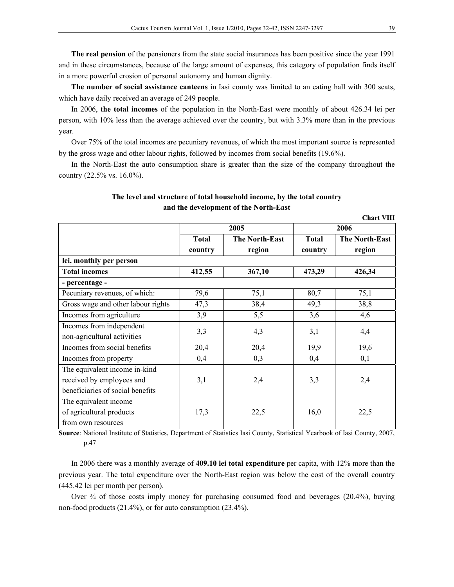**The real pension** of the pensioners from the state social insurances has been positive since the year 1991 and in these circumstances, because of the large amount of expenses, this category of population finds itself in a more powerful erosion of personal autonomy and human dignity.

**The number of social assistance canteens** in Iasi county was limited to an eating hall with 300 seats, which have daily received an average of 249 people.

In 2006, **the total incomes** of the population in the North-East were monthly of about 426.34 lei per person, with 10% less than the average achieved over the country, but with 3.3% more than in the previous year.

Over 75% of the total incomes are pecuniary revenues, of which the most important source is represented by the gross wage and other labour rights, followed by incomes from social benefits (19.6%).

In the North-East the auto consumption share is greater than the size of the company throughout the country (22.5% vs. 16.0%).

## **The level and structure of total household income, by the total country and the development of the North-East**

**Chart VIII** 

|                                    |              | 2005                  | 2006         |                       |  |
|------------------------------------|--------------|-----------------------|--------------|-----------------------|--|
|                                    | <b>Total</b> | <b>The North-East</b> | <b>Total</b> | <b>The North-East</b> |  |
|                                    | country      | region                | country      | region                |  |
| lei, monthly per person            |              |                       |              |                       |  |
| <b>Total incomes</b>               | 412,55       | 367,10                | 473,29       | 426,34                |  |
| - percentage -                     |              |                       |              |                       |  |
| Pecuniary revenues, of which:      | 79,6         | 75,1                  | 80,7         | 75,1                  |  |
| Gross wage and other labour rights | 47,3         | 38,4                  | 49,3         | 38,8                  |  |
| Incomes from agriculture           | 3,9          | 5,5                   | 3,6          | 4,6                   |  |
| Incomes from independent           |              |                       |              | 4,4                   |  |
| non-agricultural activities        | 3,3          | 4,3                   | 3,1          |                       |  |
| Incomes from social benefits       | 20,4         | 20,4                  | 19,9         | 19,6                  |  |
| Incomes from property              | 0,4          | 0,3                   | 0,4          | 0,1                   |  |
| The equivalent income in-kind      |              |                       |              |                       |  |
| received by employees and          | 3,1          | 2,4                   | 3,3          | 2,4                   |  |
| beneficiaries of social benefits   |              |                       |              |                       |  |
| The equivalent income              |              |                       |              |                       |  |
| of agricultural products           | 17,3         | 22,5                  | 16,0         | 22,5                  |  |
| from own resources                 |              |                       |              |                       |  |

**Source**: National Institute of Statistics, Department of Statistics Iasi County, Statistical Yearbook of Iasi County, 2007, p.47

In 2006 there was a monthly average of **409.10 lei total expenditure** per capita, with 12% more than the previous year. The total expenditure over the North-East region was below the cost of the overall country (445.42 lei per month per person).

Over  $\frac{3}{4}$  of those costs imply money for purchasing consumed food and beverages (20.4%), buying non-food products (21.4%), or for auto consumption (23.4%).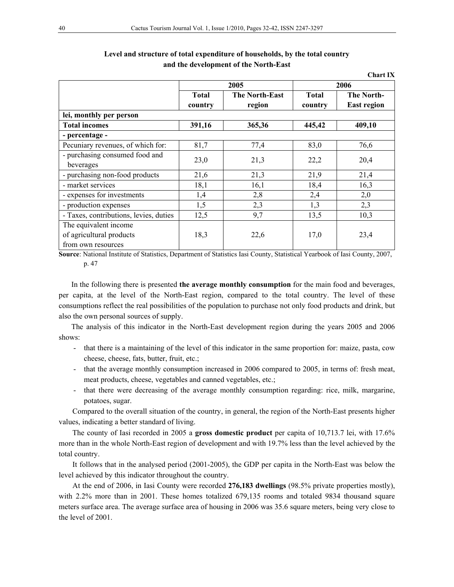|                                        |              |                       |              | <b>Chart IX</b>    |  |
|----------------------------------------|--------------|-----------------------|--------------|--------------------|--|
|                                        |              | 2005                  | 2006         |                    |  |
|                                        | <b>Total</b> | <b>The North-East</b> | <b>Total</b> | <b>The North-</b>  |  |
|                                        | country      | region                | country      | <b>East region</b> |  |
| lei, monthly per person                |              |                       |              |                    |  |
| <b>Total incomes</b>                   | 391,16       | 365,36                | 445,42       | 409,10             |  |
| - percentage -                         |              |                       |              |                    |  |
| Pecuniary revenues, of which for:      | 81,7         | 77,4                  | 83,0         | 76,6               |  |
| - purchasing consumed food and         | 23,0         | 21,3                  | 22,2         | 20,4               |  |
| beverages                              |              |                       |              |                    |  |
| - purchasing non-food products         | 21,6         | 21,3                  | 21,9         | 21,4               |  |
| - market services                      | 18,1         | 16,1                  | 18,4         | 16,3               |  |
| - expenses for investments             | 1,4          | 2,8                   | 2,4          | 2,0                |  |
| - production expenses                  | 1,5          | 2,3                   | 1,3          | 2,3                |  |
| - Taxes, contributions, levies, duties | 12,5         | 9,7                   | 13,5         | 10,3               |  |
| The equivalent income                  |              |                       |              |                    |  |
| of agricultural products               | 18,3         | 22,6                  | 17,0         | 23,4               |  |
| from own resources                     |              |                       |              |                    |  |

## **Level and structure of total expenditure of households, by the total country and the development of the North-East**

**Source**: National Institute of Statistics, Department of Statistics Iasi County, Statistical Yearbook of Iasi County, 2007, p. 47

In the following there is presented **the average monthly consumption** for the main food and beverages, per capita, at the level of the North-East region, compared to the total country. The level of these consumptions reflect the real possibilities of the population to purchase not only food products and drink, but also the own personal sources of supply.

The analysis of this indicator in the North-East development region during the years 2005 and 2006 shows:

- that there is a maintaining of the level of this indicator in the same proportion for: maize, pasta, cow cheese, cheese, fats, butter, fruit, etc.;
- that the average monthly consumption increased in 2006 compared to 2005, in terms of: fresh meat, meat products, cheese, vegetables and canned vegetables, etc.;
- that there were decreasing of the average monthly consumption regarding: rice, milk, margarine, potatoes, sugar.

Compared to the overall situation of the country, in general, the region of the North-East presents higher values, indicating a better standard of living.

The county of Iasi recorded in 2005 a **gross domestic product** per capita of 10,713.7 lei, with 17.6% more than in the whole North-East region of development and with 19.7% less than the level achieved by the total country.

It follows that in the analysed period (2001-2005), the GDP per capita in the North-East was below the level achieved by this indicator throughout the country.

At the end of 2006, in Iasi County were recorded **276,183 dwellings** (98.5% private properties mostly), with 2.2% more than in 2001. These homes totalized 679,135 rooms and totaled 9834 thousand square meters surface area. The average surface area of housing in 2006 was 35.6 square meters, being very close to the level of 2001.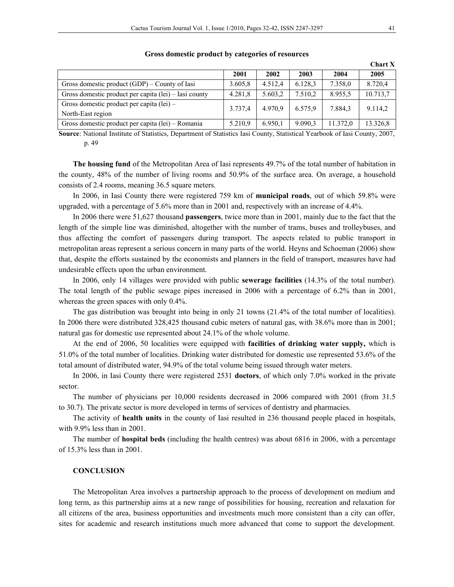|                                                                  |         |         |         |          | <b>Chart X</b> |
|------------------------------------------------------------------|---------|---------|---------|----------|----------------|
|                                                                  | 2001    | 2002    | 2003    | 2004     | 2005           |
| Gross domestic product $(GDP)$ – County of Iasi                  | 3.605.8 | 4.512.4 | 6.128.3 | 7.358.0  | 8.720.4        |
| Gross domestic product per capita (lei) – Iasi county            | 4.281,8 | 5.603,2 | 7.510,2 | 8.955,5  | 10.713,7       |
| Gross domestic product per capita $(1ei)$ –<br>North-East region | 3.737,4 | 4.970.9 | 6.575,9 | 7.884,3  | 9.114,2        |
| Gross domestic product per capita (lei) – Romania                | 5.210,9 | 6.950,1 | 9.090.3 | 11.372,0 | 13.326,8       |

#### **Gross domestic product by categories of resources**

**Source**: National Institute of Statistics, Department of Statistics Iasi County, Statistical Yearbook of Iasi County, 2007, p. 49

**The housing fund** of the Metropolitan Area of Iasi represents 49.7% of the total number of habitation in the county, 48% of the number of living rooms and 50.9% of the surface area. On average, a household consists of 2.4 rooms, meaning 36.5 square meters.

In 2006, in Iasi County there were registered 759 km of **municipal roads**, out of which 59.8% were upgraded, with a percentage of 5.6% more than in 2001 and, respectively with an increase of 4.4%.

In 2006 there were 51,627 thousand **passengers**, twice more than in 2001, mainly due to the fact that the length of the simple line was diminished, altogether with the number of trams, buses and trolleybuses, and thus affecting the comfort of passengers during transport. The aspects related to public transport in metropolitan areas represent a serious concern in many parts of the world. Heyns and Schoeman (2006) show that, despite the efforts sustained by the economists and planners in the field of transport, measures have had undesirable effects upon the urban environment.

In 2006, only 14 villages were provided with public **sewerage facilities** (14.3% of the total number). The total length of the public sewage pipes increased in 2006 with a percentage of 6.2% than in 2001, whereas the green spaces with only 0.4%.

The gas distribution was brought into being in only 21 towns (21.4% of the total number of localities). In 2006 there were distributed 328,425 thousand cubic meters of natural gas, with 38.6% more than in 2001; natural gas for domestic use represented about 24.1% of the whole volume.

At the end of 2006, 50 localities were equipped with **facilities of drinking water supply,** which is 51.0% of the total number of localities. Drinking water distributed for domestic use represented 53.6% of the total amount of distributed water, 94.9% of the total volume being issued through water meters.

In 2006, in Iasi County there were registered 2531 **doctors**, of which only 7.0% worked in the private sector.

The number of physicians per 10,000 residents decreased in 2006 compared with 2001 (from 31.5 to 30.7). The private sector is more developed in terms of services of dentistry and pharmacies.

The activity of **health units** in the county of Iasi resulted in 236 thousand people placed in hospitals, with 9.9% less than in 2001.

The number of **hospital beds** (including the health centres) was about 6816 in 2006, with a percentage of 15.3% less than in 2001.

#### **CONCLUSION**

The Metropolitan Area involves a partnership approach to the process of development on medium and long term, as this partnership aims at a new range of possibilities for housing, recreation and relaxation for all citizens of the area, business opportunities and investments much more consistent than a city can offer, sites for academic and research institutions much more advanced that come to support the development.